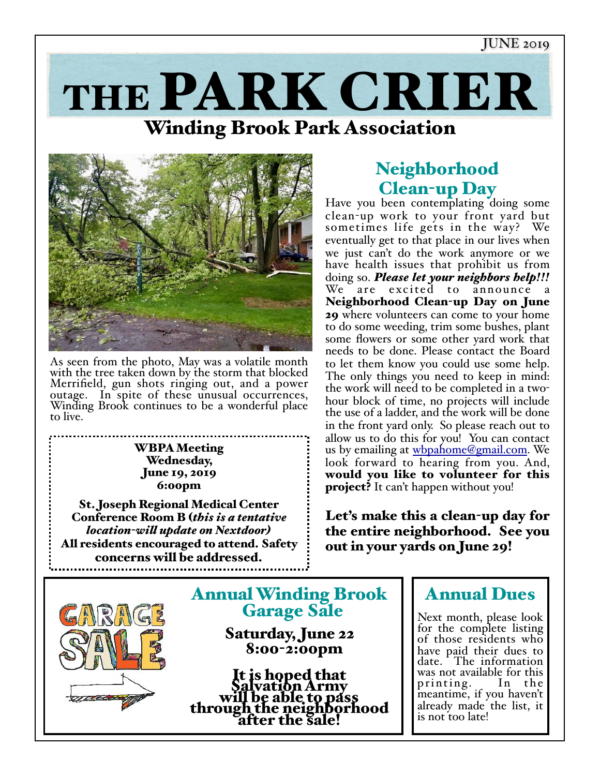#### JUNE 2019



## Winding Brook Park Association



As seen from the photo, May was a volatile month with the tree taken down by the storm that blocked Merrifield, gun shots ringing out, and a power outage. In spite of these unusual occurrences, Winding Brook continues to be a wonderful place to live.

> WBPA Meeting Wednesday, June 19, 2019 6:00pm

St. Joseph Regional Medical Center Conference Room B (*this is a tentative location-wil update on Nextdoor)* All residents encouraged to attend. Safety concerns will be addressed.

## Neighborhood

**Clean-up Day** Have you been contemplating doing some clean-up work to your front yard but sometimes life gets in the way? We eventually get to that place in our lives when we just can't do the work anymore or we have health issues that prohibit us from doing so. *Please let your neighbors help!!!* We are excited to announce a Neighborhood Clean-up Day on June 29 where volunteers can come to your home to do some weeding, trim some bushes, plant some flowers or some other yard work that needs to be done. Please contact the Board to let them know you could use some help. The only things you need to keep in mind: the work will need to be completed in a twohour block of time, no projects will include the use of a ladder, and the work will be done in the front yard only. So please reach out to allow us to do this for you! You can contact us by emailing at **wbpahome@gmail.com**. We look forward to hearing from you. And, would you like to volunteer for this **project?** It can't happen without you!

Let's make this a clean-up day for the entire neighborhood. See you out in your yards on June 29!



# Annual Winding Brook Garage Sale Saturday, June 22

8:00-2:00pm

It is hoped that<br>Salvation Army will be able to pass<br>through the neighborhood<br>after the sale!

## Annual Dues

Next month, please look for the complete listing of those residents who have paid their dues to<br>date. The information The information was not available for this printing. In the meantime, if you haven't already made the list, it is not too late!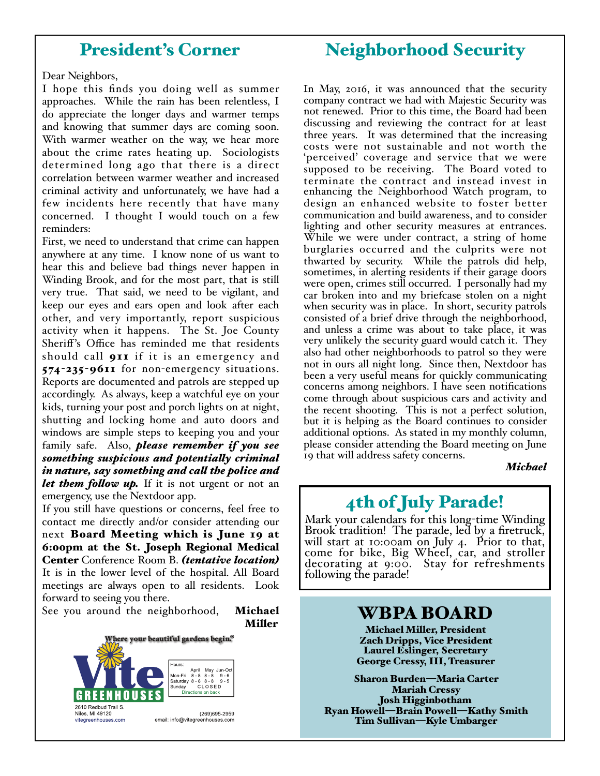#### President's Corner

### Neighborhood Security

Dear Neighbors,

I hope this finds you doing well as summer approaches. While the rain has been relentless, I do appreciate the longer days and warmer temps and knowing that summer days are coming soon. With warmer weather on the way, we hear more about the crime rates heating up. Sociologists determined long ago that there is a direct correlation between warmer weather and increased criminal activity and unfortunately, we have had a few incidents here recently that have many concerned. I thought I would touch on a few reminders:

First, we need to understand that crime can happen anywhere at any time. I know none of us want to hear this and believe bad things never happen in Winding Brook, and for the most part, that is still very true. That said, we need to be vigilant, and keep our eyes and ears open and look after each other, and very importantly, report suspicious activity when it happens. The St. Joe County Sheriff's Office has reminded me that residents should call  $\overline{911}$  if it is an emergency and 574-235-9611 for non-emergency situations. Reports are documented and patrols are stepped up accordingly. As always, keep a watchful eye on your kids, turning your post and porch lights on at night, shutting and locking home and auto doors and windows are simple steps to keeping you and your family safe. Also, *please remember if you see something suspicious and potentialy criminal in nature, say something and cal the police and let them folow up.* If it is not urgent or not an emergency, use the Nextdoor app.

If you still have questions or concerns, feel free to contact me directly and/or consider attending our next Board Meeting which is June 19 at 6:00pm at the St. Joseph Regional Medical Center Conference Room B. *(tentative location)* It is in the lower level of the hospital. All Board meetings are always open to all residents. Look forward to seeing you there.

See you around the neighborhood, Michael Miller



In May, 2016, it was announced that the security company contract we had with Majestic Security was not renewed. Prior to this time, the Board had been discussing and reviewing the contract for at least three years. It was determined that the increasing costs were not sustainable and not worth the 'perceived' coverage and service that we were supposed to be receiving. The Board voted to terminate the contract and instead invest in enhancing the Neighborhood Watch program, to design an enhanced website to foster better communication and build awareness, and to consider lighting and other security measures at entrances. While we were under contract, a string of home burglaries occurred and the culprits were not thwarted by security. While the patrols did help, sometimes, in alerting residents if their garage doors were open, crimes still occurred. I personally had my car broken into and my briefcase stolen on a night when security was in place. In short, security patrols consisted of a brief drive through the neighborhood, and unless a crime was about to take place, it was very unlikely the security guard would catch it. They also had other neighborhoods to patrol so they were not in ours all night long. Since then, Nextdoor has been a very useful means for quickly communicating concerns among neighbors. I have seen notifications come through about suspicious cars and activity and the recent shooting. This is not a perfect solution, but it is helping as the Board continues to consider additional options. As stated in my monthly column, please consider attending the Board meeting on June 19 that will address safety concerns.

#### *Michael*

## 4th of July Parade!

Mark your calendars for this long-time Winding Brook tradition! The parade, led by a firetruck, will start at 10:00am on July 4. Prior to that, come for bike, Big Wheel, car, and stroller decorating at 9:00. Stay for refreshments following the parade!

## WBPA BOARD

Michael Miller, President Zach Dripps, Vice President Laurel Eslinger, Secretary George Cressy, III, Treasurer

Sharon Burden—Maria Carter Mariah Cressy Josh Higginbotham Ryan Howell—Brain Powell—Kathy Smith Tim Sullivan—Kyle Umbarger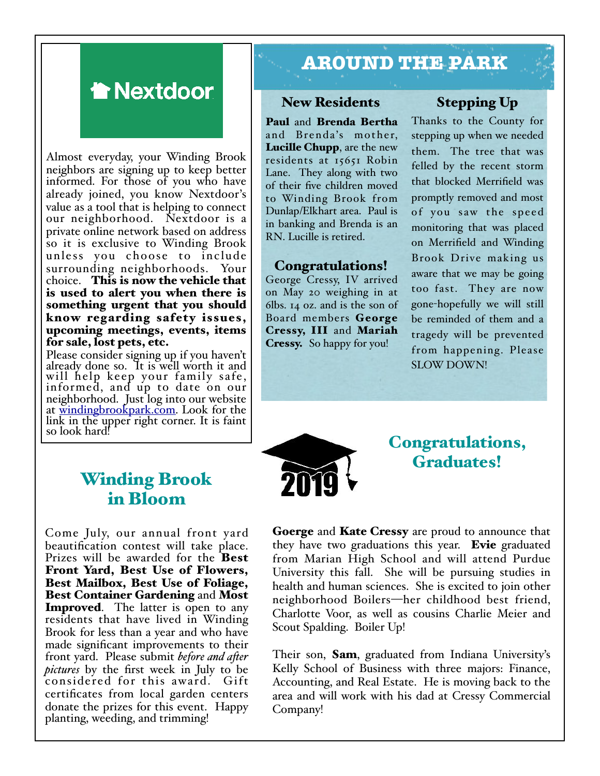## **Thextdoor**

Almost everyday, your Winding Brook neighbors are signing up to keep better informed. For those of you who have already joined, you know Nextdoor's value as a tool that is helping to connect our neighborhood. Nextdoor is a private online network based on address so it is exclusive to Winding Brook unless you choose to include surrounding neighborhoods. Your choice. This is now the vehicle that is used to alert you when there is something urgent that you should know regarding safety issues, upcoming meetings, events, items for sale, lost pets, etc.

Please consider signing up if you haven't already done so. It is well worth it and will help keep your family safe, informed, and up to date on our neighborhood. Just log into our website at windingbrookpark.com. Look for the link in the upper right corner. It is faint so look hard!

## **AROUND THE PARK**

#### New Residents

Paul and Brenda Bertha and Brenda's mother, Lucille Chupp, are the new residents at 15651 Robin Lane. They along with two of their five children moved to Winding Brook from Dunlap/Elkhart area. Paul is in banking and Brenda is an RN. Lucille is retired.

#### Congratulations!

George Cressy, IV arrived on May 20 weighing in at 6lbs. 14 oz. and is the son of Board members George Cressy, III and Mariah Cressy. So happy for you!

#### Stepping Up

Thanks to the County for stepping up when we needed them. The tree that was felled by the recent storm that blocked Merrifield was promptly removed and most of you saw the speed monitoring that was placed on Merrifield and Winding Brook Drive making us aware that we may be going too fast. They are now gone-hopefully we will still be reminded of them and a tragedy will be prevented from happening. Please SLOW DOWN!



## Congratulations, Graduates!

Goerge and Kate Cressy are proud to announce that they have two graduations this year. Evie graduated from Marian High School and will attend Purdue University this fall. She will be pursuing studies in health and human sciences. She is excited to join other neighborhood Boilers—her childhood best friend, Charlotte Voor, as well as cousins Charlie Meier and Scout Spalding. Boiler Up!

Their son, **Sam**, graduated from Indiana University's Kelly School of Business with three majors: Finance, Accounting, and Real Estate. He is moving back to the area and will work with his dad at Cressy Commercial Company!

## Winding Brook in Bloom

Come July, our annual front yard beautification contest will take place. Prizes will be awarded for the **Best** Front Yard, Best Use of Flowers, Best Mailbox, Best Use of Foliage, Best Container Gardening and Most **Improved.** The latter is open to any residents that have lived in Winding Brook for less than a year and who have made significant improvements to their front yard. Please submit *before and afer pictures* by the first week in July to be considered for this award. Gift certificates from local garden centers donate the prizes for this event. Happy planting, weeding, and trimming!